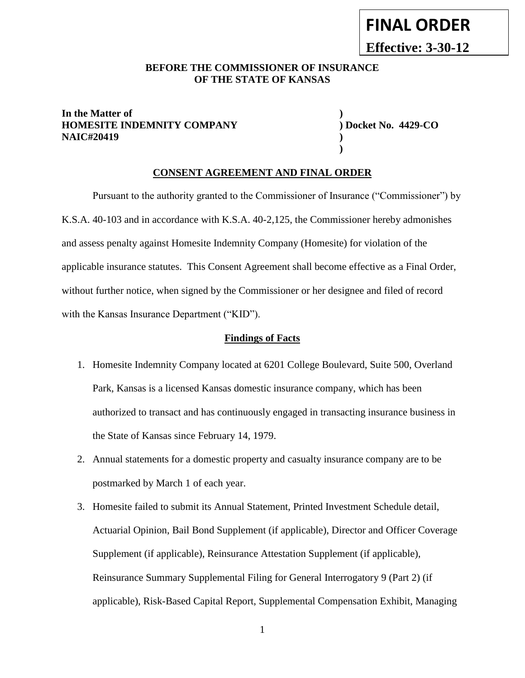**Effective: 3-30-12**

#### **BEFORE THE COMMISSIONER OF INSURANCE OF THE STATE OF KANSAS**

#### **In the Matter of ) HOMESITE INDEMNITY COMPANY ) Docket No. 4429-CO NAIC#20419 )**

**)**

#### **CONSENT AGREEMENT AND FINAL ORDER**

Pursuant to the authority granted to the Commissioner of Insurance ("Commissioner") by K.S.A. 40-103 and in accordance with K.S.A. 40-2,125, the Commissioner hereby admonishes and assess penalty against Homesite Indemnity Company (Homesite) for violation of the applicable insurance statutes. This Consent Agreement shall become effective as a Final Order, without further notice, when signed by the Commissioner or her designee and filed of record with the Kansas Insurance Department ("KID").

#### **Findings of Facts**

- 1. Homesite Indemnity Company located at 6201 College Boulevard, Suite 500, Overland Park, Kansas is a licensed Kansas domestic insurance company, which has been authorized to transact and has continuously engaged in transacting insurance business in the State of Kansas since February 14, 1979.
- 2. Annual statements for a domestic property and casualty insurance company are to be postmarked by March 1 of each year.
- 3. Homesite failed to submit its Annual Statement, Printed Investment Schedule detail, Actuarial Opinion, Bail Bond Supplement (if applicable), Director and Officer Coverage Supplement (if applicable), Reinsurance Attestation Supplement (if applicable), Reinsurance Summary Supplemental Filing for General Interrogatory 9 (Part 2) (if applicable), Risk-Based Capital Report, Supplemental Compensation Exhibit, Managing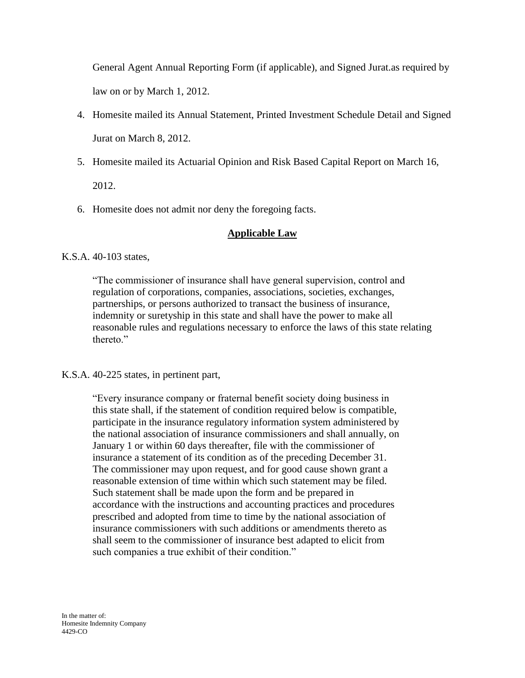General Agent Annual Reporting Form (if applicable), and Signed Jurat.as required by law on or by March 1, 2012.

- 4. Homesite mailed its Annual Statement, Printed Investment Schedule Detail and Signed Jurat on March 8, 2012.
- 5. Homesite mailed its Actuarial Opinion and Risk Based Capital Report on March 16,

2012.

6. Homesite does not admit nor deny the foregoing facts.

# **Applicable Law**

K.S.A. 40-103 states,

"The commissioner of insurance shall have general supervision, control and regulation of corporations, companies, associations, societies, exchanges, partnerships, or persons authorized to transact the business of insurance, indemnity or suretyship in this state and shall have the power to make all reasonable rules and regulations necessary to enforce the laws of this state relating thereto."

K.S.A. 40-225 states, in pertinent part,

"Every insurance company or fraternal benefit society doing business in this state shall, if the statement of condition required below is compatible, participate in the insurance regulatory information system administered by the national association of insurance commissioners and shall annually, on January 1 or within 60 days thereafter, file with the commissioner of insurance a statement of its condition as of the preceding December 31. The commissioner may upon request, and for good cause shown grant a reasonable extension of time within which such statement may be filed. Such statement shall be made upon the form and be prepared in accordance with the instructions and accounting practices and procedures prescribed and adopted from time to time by the national association of insurance commissioners with such additions or amendments thereto as shall seem to the commissioner of insurance best adapted to elicit from such companies a true exhibit of their condition."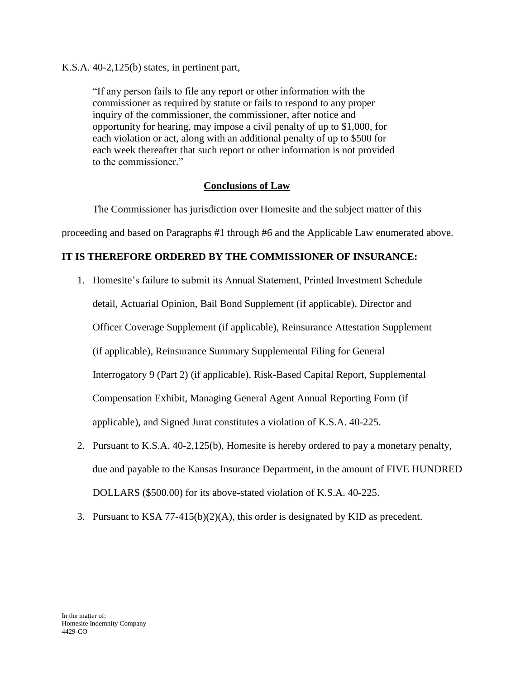K.S.A. 40-2,125(b) states, in pertinent part,

"If any person fails to file any report or other information with the commissioner as required by statute or fails to respond to any proper inquiry of the commissioner, the commissioner, after notice and opportunity for hearing, may impose a civil penalty of up to \$1,000, for each violation or act, along with an additional penalty of up to \$500 for each week thereafter that such report or other information is not provided to the commissioner."

### **Conclusions of Law**

The Commissioner has jurisdiction over Homesite and the subject matter of this

proceeding and based on Paragraphs #1 through #6 and the Applicable Law enumerated above.

## **IT IS THEREFORE ORDERED BY THE COMMISSIONER OF INSURANCE:**

- 1. Homesite's failure to submit its Annual Statement, Printed Investment Schedule detail, Actuarial Opinion, Bail Bond Supplement (if applicable), Director and Officer Coverage Supplement (if applicable), Reinsurance Attestation Supplement (if applicable), Reinsurance Summary Supplemental Filing for General Interrogatory 9 (Part 2) (if applicable), Risk-Based Capital Report, Supplemental Compensation Exhibit, Managing General Agent Annual Reporting Form (if applicable), and Signed Jurat constitutes a violation of K.S.A. 40-225.
- 2. Pursuant to K.S.A. 40-2,125(b), Homesite is hereby ordered to pay a monetary penalty, due and payable to the Kansas Insurance Department, in the amount of FIVE HUNDRED DOLLARS (\$500.00) for its above-stated violation of K.S.A. 40-225.
- 3. Pursuant to KSA 77-415(b)(2)(A), this order is designated by KID as precedent.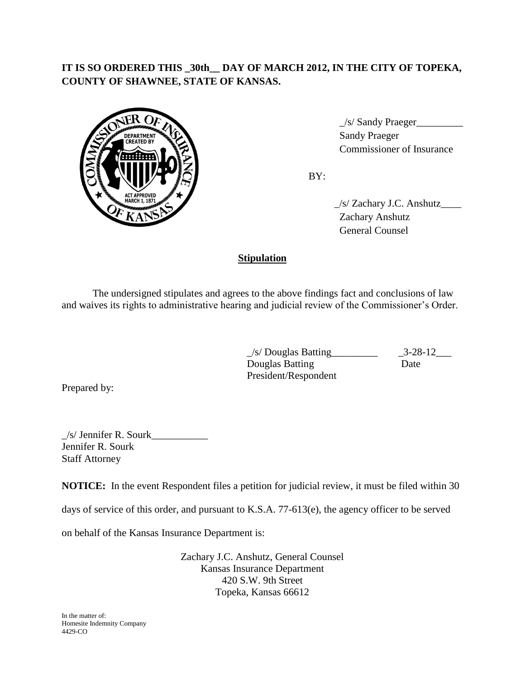# **IT IS SO ORDERED THIS \_30th\_\_ DAY OF MARCH 2012, IN THE CITY OF TOPEKA, COUNTY OF SHAWNEE, STATE OF KANSAS.**



 $\angle$ s/ Sandy Praeger $\angle$ 6. Commissioner of Insurance

BY:

 \_/s/ Zachary J.C. Anshutz\_\_\_\_ Zachary Anshutz General Counsel

## **Stipulation**

The undersigned stipulates and agrees to the above findings fact and conclusions of law and waives its rights to administrative hearing and judicial review of the Commissioner's Order.

> $\angle$ s/ Douglas Batting<br> $\angle$ 3-28-12 $\angle$ **Douglas Batting Date** President/Respondent

Prepared by:

 $\angle$ s/ Jennifer R. Sourk $\angle$ Jennifer R. Sourk Staff Attorney

**NOTICE:** In the event Respondent files a petition for judicial review, it must be filed within 30

days of service of this order, and pursuant to K.S.A. 77-613(e), the agency officer to be served

on behalf of the Kansas Insurance Department is:

Zachary J.C. Anshutz, General Counsel Kansas Insurance Department 420 S.W. 9th Street Topeka, Kansas 66612

In the matter of: Homesite Indemnity Company 4429-CO